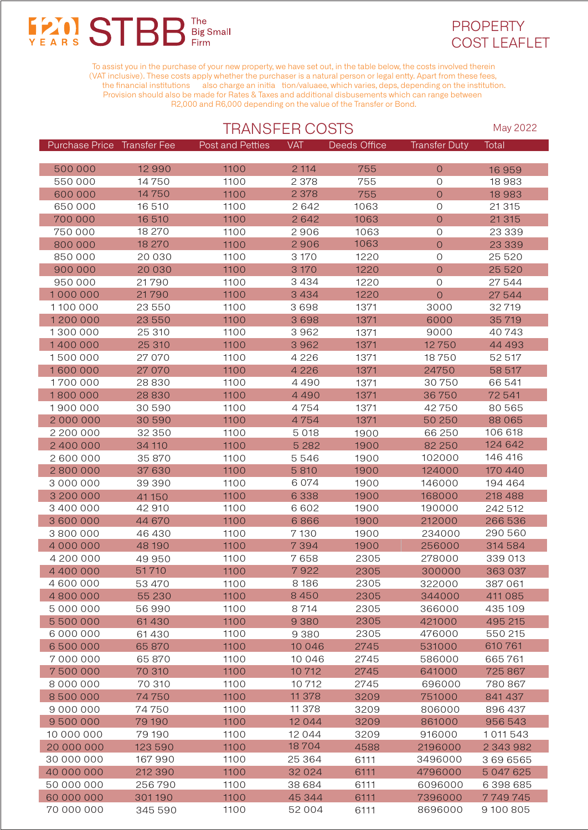## **FANS STBE** The<br>Big Small **Firm**



To assist you in the purchase of your new property, we have set out, in the table below, the costs involved therein (VAT inclusive). These costs apply whether the purchaser is a natural person or legal entty. Apart from these fees, the financial institutions also charge an initia tion/valuaee, which varies, deps, depending on the institution. Provision should also be made for Rates & Taxes and additional disbusements which can range between R2,000 and R6,000 depending on the value of the Transfer or Bond.

|                             |          |                  | <b>TRANSFER COSTS</b> |              |                      |           |  |
|-----------------------------|----------|------------------|-----------------------|--------------|----------------------|-----------|--|
| Purchase Price Transfer Fee |          | Post and Petties | <b>VAT</b>            | Deeds Office | <b>Transfer Duty</b> | Total     |  |
|                             |          |                  |                       |              |                      |           |  |
| 500 000                     | 12 9 9 0 | 1100             | 2 1 1 4               | 755          | $\mathsf O$          | 16959     |  |
| 550 000                     | 14750    | 1100             | 2 3 7 8               | 755          | $\overline{O}$       | 18 9 8 3  |  |
| 600 000                     | 14750    | 1100             | 2 3 7 8               | 755          | $\overline{O}$       | 18 9 83   |  |
| 650 000                     | 16510    | 1100             | 2642                  | 1063         | $\mathcal{O}$        | 21 3 1 5  |  |
| 700 000                     | 16510    | 1100             | 2642                  | 1063         | $\mathsf O$          | 21 3 15   |  |
| 750 000                     | 18 270   | 1100             | 2906                  | 1063         | $\circ$              | 23 339    |  |
| 800 000                     | 18 270   | 1100             | 2906                  | 1063         | $\overline{O}$       | 23 3 3 9  |  |
| 850 000                     | 20 030   | 1100             | 3 1 7 0               | 1220         | $\mathcal{O}$        | 25 5 20   |  |
| 900 000                     | 20 030   | 1100             | 3 1 7 0               | 1220         | $\overline{O}$       | 25 5 20   |  |
| 950 000                     | 21790    | 1100             | 3434                  | 1220         | $\mathsf O$          | 27544     |  |
| 1000000                     | 21790    | 1100             | 3434                  | 1220         | $\overline{O}$       | 27 544    |  |
| 1100 000                    | 23 550   | 1100             | 3698                  | 1371         | 3000                 | 32719     |  |
| 1200000                     | 23 550   | 1100             | 3698                  | 1371         | 6000                 | 35719     |  |
| 1300000                     | 25 310   | 1100             | 3962                  | 1371         | 9000                 | 40743     |  |
| 1400000                     | 25 310   | 1100             | 3962                  | 1371         | 12750                | 44 493    |  |
| 1500000                     | 27 070   | 1100             | 4 2 2 6               | 1371         | 18750                | 52 517    |  |
| 1600000                     | 27 070   | 1100             | 4 2 2 6               | 1371         | 24750                | 58 517    |  |
| 1700 000                    | 28830    | 1100             | 4490                  | 1371         | 30750                | 66 541    |  |
| 1800000                     | 28830    | 1100             | 4490                  | 1371         | 36750                | 72541     |  |
| 1900000                     | 30 590   | 1100             | 4754                  | 1371         | 42750                | 80 565    |  |
| 2000000                     | 30 590   | 1100             | 4754                  | 1371         | 50 250               | 88 0 65   |  |
| 2 200 000                   | 32 350   | 1100             | 5 0 18                | 1900         | 66 250               | 106 618   |  |
| 2 400 000                   | 34 110   | 1100             | 5 2 8 2               | 1900         | 82 250               | 124 642   |  |
| 2 600 000                   | 35 870   | 1100             | 5546                  | 1900         | 102000               | 146 416   |  |
| 2800000                     | 37 630   | 1100             | 5810                  | 1900         | 124000               | 170 440   |  |
| 3 000 000                   | 39 390   | 1100             | 6 0 7 4               | 1900         | 146000               | 194 464   |  |
| 3 200 000                   | 41150    | 1100             | 6 3 3 8               | 1900         | 168000               | 218 488   |  |
| 3 400 000                   | 42 910   | 1100             | 6602                  | 1900         | 190000               | 242 512   |  |
| 3 600 000                   | 44 670   | 1100             | 6866                  | 1900         | 212000               | 266 536   |  |
| 3800000                     | 46 430   | 1100             | 7130                  | 1900         | 234000               | 290 560   |  |
| 4 000 000                   | 48 190   | 1100             | 7394                  | 1900         | 256000               | 314 584   |  |
| 4 200 000                   | 49 950   | 1100             | 7658                  | 2305         | 278000               | 339 013   |  |
| 4 400 000                   | 51710    | 1100             | 7922                  | 2305         | 300000               | 363 037   |  |
| 4 600 000                   | 53 470   | 1100             | 8 1 8 6               | 2305         | 322000               | 387 061   |  |
| 4800000                     | 55 230   | 1100             | 8450                  | 2305         | 344000               | 411 085   |  |
| 5 000 000                   | 56990    | 1100             | 8714                  | 2305         | 366000               | 435 109   |  |
| 5 500 000                   | 61430    | 1100             | 9 3 8 0               | 2305         | 421000               | 495 215   |  |
| 6 000 000                   | 61430    | 1100             | 9 3 8 0               | 2305         | 476000               | 550 215   |  |
| 6500000                     | 65 870   | 1100             | 10 0 46               | 2745         | 531000               | 610761    |  |
| 7000000                     | 65 870   | 1100             | 10 046                | 2745         | 586000               | 665761    |  |
| 7500000                     | 70 310   | 1100             | 10712                 | 2745         | 641000               | 725 867   |  |
| 8 000 000                   | 70 310   | 1100             | 10712                 | 2745         | 696000               | 780 867   |  |
| 8500000                     | 74750    | 1100             | 11 378                | 3209         | 751000               | 841 437   |  |
| 9 000 000                   | 74750    | 1100             | 11 378                | 3209         | 806000               | 896 437   |  |
| 9500000                     | 79 190   | 1100             | 12 0 4 4              | 3209         | 861000               | 956 543   |  |
| 10 000 000                  | 79 190   | 1100             | 12 0 4 4              | 3209         | 916000               | 1011543   |  |
| 20 000 000                  | 123 590  | 1100             | 18704                 | 4588         | 2196000              | 2 343 982 |  |
| 30 000 000                  | 167 990  | 1100             | 25 364                | 6111         | 3496000              | 3696565   |  |
| 40 000 000                  | 212 390  | 1100             | 32 0 24               | 6111         | 4796000              | 5 047 625 |  |
| 50 000 000                  | 256790   | 1100             | 38 684                | 6111         | 6096000              | 6 398 685 |  |
| 60 000 000                  | 301190   | 1100             | 45 344                | 6111         | 7396000              | 7749745   |  |
| 70 000 000                  | 345 590  | 1100             | 52 004                | 6111         | 8696000              | 9100805   |  |